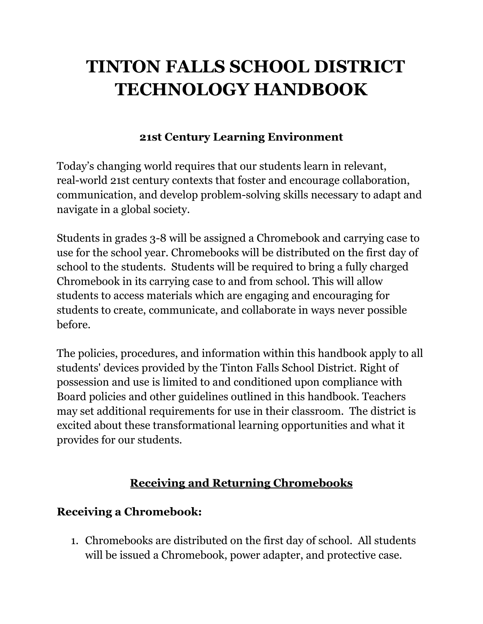# **TINTON FALLS SCHOOL DISTRICT TECHNOLOGY HANDBOOK**

#### **21st Century Learning Environment**

Today's changing world requires that our students learn in relevant, real-world 21st century contexts that foster and encourage collaboration, communication, and develop problem-solving skills necessary to adapt and navigate in a global society.

Students in grades 3-8 will be assigned a Chromebook and carrying case to use for the school year. Chromebooks will be distributed on the first day of school to the students. Students will be required to bring a fully charged Chromebook in its carrying case to and from school. This will allow students to access materials which are engaging and encouraging for students to create, communicate, and collaborate in ways never possible before.

The policies, procedures, and information within this handbook apply to all students' devices provided by the Tinton Falls School District. Right of possession and use is limited to and conditioned upon compliance with Board policies and other guidelines outlined in this handbook. Teachers may set additional requirements for use in their classroom. The district is excited about these transformational learning opportunities and what it provides for our students.

## **Receiving and Returning Chromebooks**

#### **Receiving a Chromebook:**

1. Chromebooks are distributed on the first day of school. All students will be issued a Chromebook, power adapter, and protective case.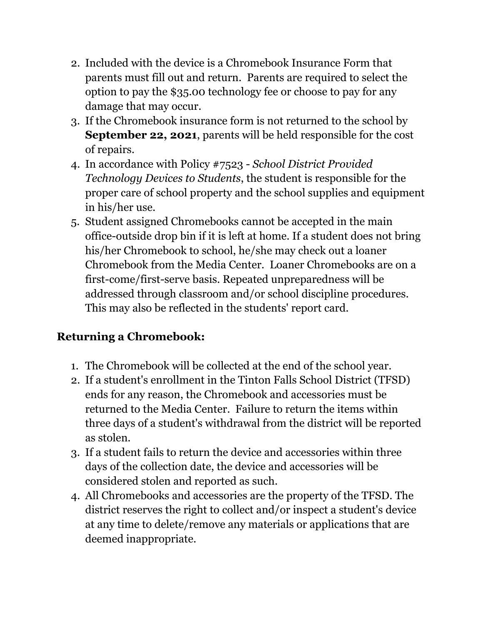- 2. Included with the device is a Chromebook Insurance Form that parents must fill out and return. Parents are required to select the option to pay the \$35.00 technology fee or choose to pay for any damage that may occur.
- 3. If the Chromebook insurance form is not returned to the school by **September 22, 2021**, parents will be held responsible for the cost of repairs.
- 4. In accordance with Policy #7523 *School District Provided Technology Devices to Students*, the student is responsible for the proper care of school property and the school supplies and equipment in his/her use.
- 5. Student assigned Chromebooks cannot be accepted in the main office-outside drop bin if it is left at home. If a student does not bring his/her Chromebook to school, he/she may check out a loaner Chromebook from the Media Center. Loaner Chromebooks are on a first-come/first-serve basis. Repeated unpreparedness will be addressed through classroom and/or school discipline procedures. This may also be reflected in the students' report card.

# **Returning a Chromebook:**

- 1. The Chromebook will be collected at the end of the school year.
- 2. If a student's enrollment in the Tinton Falls School District (TFSD) ends for any reason, the Chromebook and accessories must be returned to the Media Center. Failure to return the items within three days of a student's withdrawal from the district will be reported as stolen.
- 3. If a student fails to return the device and accessories within three days of the collection date, the device and accessories will be considered stolen and reported as such.
- 4. All Chromebooks and accessories are the property of the TFSD. The district reserves the right to collect and/or inspect a student's device at any time to delete/remove any materials or applications that are deemed inappropriate.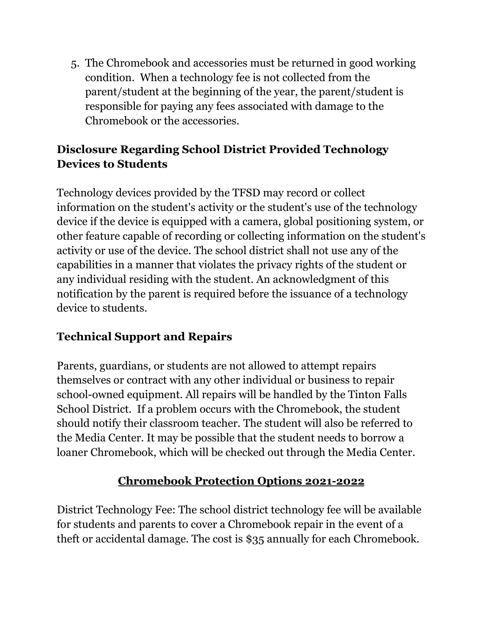5. The Chromebook and accessories must be returned in good working condition. When a technology fee is not collected from the parent/student at the beginning of the year, the parent/student is responsible for paying any fees associated with damage to the Chromebook or the accessories.

## **Disclosure Regarding School District Provided Technology Devices to Students**

Technology devices provided by the TFSD may record or collect information on the student's activity or the student's use of the technology device if the device is equipped with a camera, global positioning system, or other feature capable of recording or collecting information on the student's activity or use of the device. The school district shall not use any of the capabilities in a manner that violates the privacy rights of the student or any individual residing with the student. An acknowledgment of this notification by the parent is required before the issuance of a technology device to students.

# **Technical Support and Repairs**

Parents, guardians, or students are not allowed to attempt repairs themselves or contract with any other individual or business to repair school-owned equipment. All repairs will be handled by the Tinton Falls School District. If a problem occurs with the Chromebook, the student should notify their classroom teacher. The student will also be referred to the Media Center. It may be possible that the student needs to borrow a loaner Chromebook, which will be checked out through the Media Center.

# **Chromebook Protection Options 2021-2022**

District Technology Fee: The school district technology fee will be available for students and parents to cover a Chromebook repair in the event of a theft or accidental damage. The cost is \$35 annually for each Chromebook.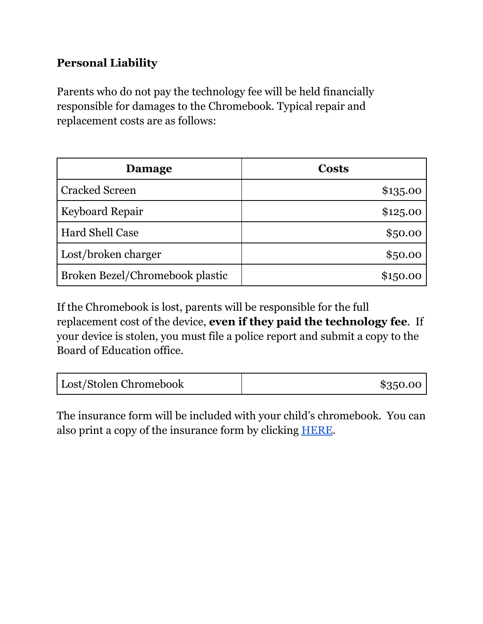#### **Personal Liability**

Parents who do not pay the technology fee will be held financially responsible for damages to the Chromebook. Typical repair and replacement costs are as follows:

| Damage                          | <b>Costs</b> |
|---------------------------------|--------------|
| <b>Cracked Screen</b>           | \$135.00     |
| <b>Keyboard Repair</b>          | \$125.00     |
| Hard Shell Case                 | \$50.00      |
| Lost/broken charger             | \$50.00      |
| Broken Bezel/Chromebook plastic | \$150.00     |

If the Chromebook is lost, parents will be responsible for the full replacement cost of the device, **even if they paid the technology fee**. If your device is stolen, you must file a police report and submit a copy to the Board of Education office.

| Lost/Stolen Chromebook | \$350.00 |
|------------------------|----------|
|------------------------|----------|

The insurance form will be included with your child's chromebook. You can also print a copy of the insurance form by clicking [HERE.](https://www.tfschools.org/cms/lib/NJ01000189/Centricity/Domain/1008/Chromebook%20Insurance%20Form.pdf)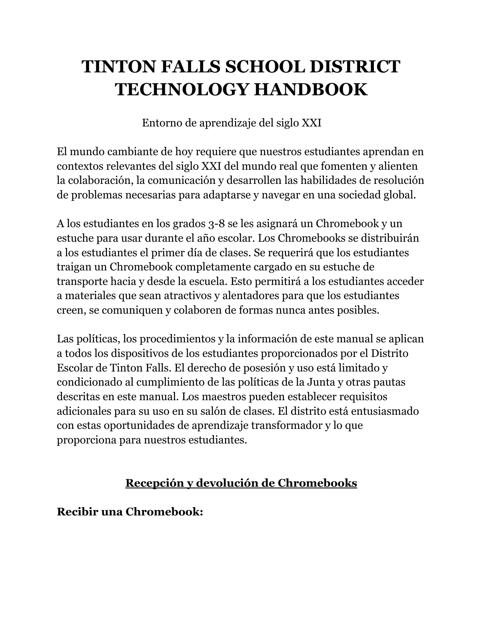# **TINTON FALLS SCHOOL DISTRICT TECHNOLOGY HANDBOOK**

Entorno de aprendizaje del siglo XXI

El mundo cambiante de hoy requiere que nuestros estudiantes aprendan en contextos relevantes del siglo XXI del mundo real que fomenten y alienten la colaboración, la comunicación y desarrollen las habilidades de resolución de problemas necesarias para adaptarse y navegar en una sociedad global.

A los estudiantes en los grados 3-8 se les asignará un Chromebook y un estuche para usar durante el año escolar. Los Chromebooks se distribuirán a los estudiantes el primer día de clases. Se requerirá que los estudiantes traigan un Chromebook completamente cargado en su estuche de transporte hacia y desde la escuela. Esto permitirá a los estudiantes acceder a materiales que sean atractivos y alentadores para que los estudiantes creen, se comuniquen y colaboren de formas nunca antes posibles.

Las políticas, los procedimientos y la información de este manual se aplican a todos los dispositivos de los estudiantes proporcionados por el Distrito Escolar de Tinton Falls. El derecho de posesión y uso está limitado y condicionado al cumplimiento de las políticas de la Junta y otras pautas descritas en este manual. Los maestros pueden establecer requisitos adicionales para su uso en su salón de clases. El distrito está entusiasmado con estas oportunidades de aprendizaje transformador y lo que proporciona para nuestros estudiantes.

# **Recepción y devolución de Chromebooks**

**Recibir una Chromebook:**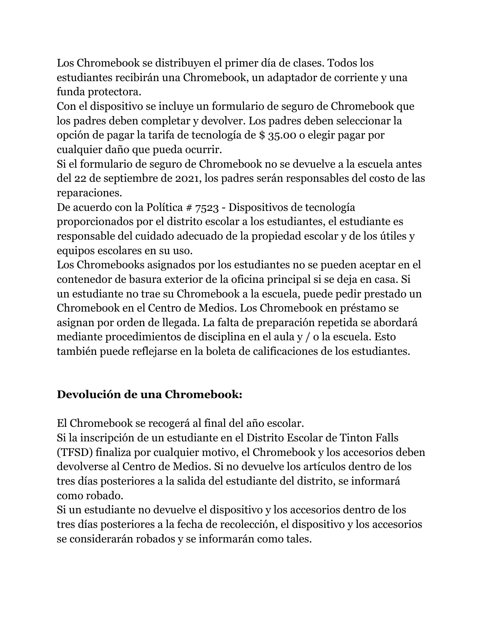Los Chromebook se distribuyen el primer día de clases. Todos los estudiantes recibirán una Chromebook, un adaptador de corriente y una funda protectora.

Con el dispositivo se incluye un formulario de seguro de Chromebook que los padres deben completar y devolver. Los padres deben seleccionar la opción de pagar la tarifa de tecnología de \$ 35.00 o elegir pagar por cualquier daño que pueda ocurrir.

Si el formulario de seguro de Chromebook no se devuelve a la escuela antes del 22 de septiembre de 2021, los padres serán responsables del costo de las reparaciones.

De acuerdo con la Política # 7523 - Dispositivos de tecnología proporcionados por el distrito escolar a los estudiantes, el estudiante es responsable del cuidado adecuado de la propiedad escolar y de los útiles y equipos escolares en su uso.

Los Chromebooks asignados por los estudiantes no se pueden aceptar en el contenedor de basura exterior de la oficina principal si se deja en casa. Si un estudiante no trae su Chromebook a la escuela, puede pedir prestado un Chromebook en el Centro de Medios. Los Chromebook en préstamo se asignan por orden de llegada. La falta de preparación repetida se abordará mediante procedimientos de disciplina en el aula y / o la escuela. Esto también puede reflejarse en la boleta de calificaciones de los estudiantes.

## **Devolución de una Chromebook:**

El Chromebook se recogerá al final del año escolar.

Si la inscripción de un estudiante en el Distrito Escolar de Tinton Falls (TFSD) finaliza por cualquier motivo, el Chromebook y los accesorios deben devolverse al Centro de Medios. Si no devuelve los artículos dentro de los tres días posteriores a la salida del estudiante del distrito, se informará como robado.

Si un estudiante no devuelve el dispositivo y los accesorios dentro de los tres días posteriores a la fecha de recolección, el dispositivo y los accesorios se considerarán robados y se informarán como tales.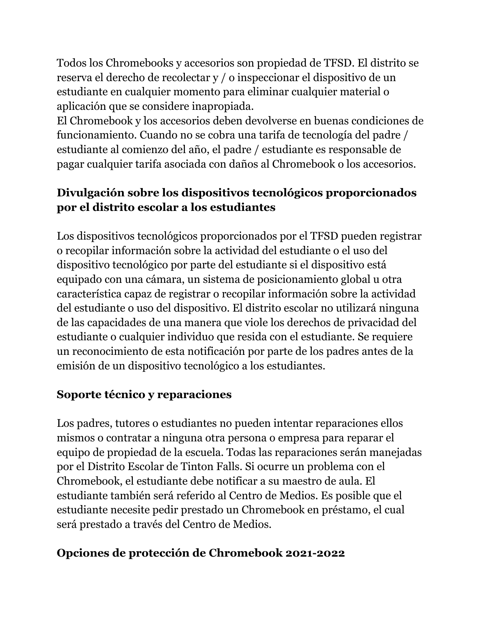Todos los Chromebooks y accesorios son propiedad de TFSD. El distrito se reserva el derecho de recolectar y / o inspeccionar el dispositivo de un estudiante en cualquier momento para eliminar cualquier material o aplicación que se considere inapropiada.

El Chromebook y los accesorios deben devolverse en buenas condiciones de funcionamiento. Cuando no se cobra una tarifa de tecnología del padre / estudiante al comienzo del año, el padre / estudiante es responsable de pagar cualquier tarifa asociada con daños al Chromebook o los accesorios.

## **Divulgación sobre los dispositivos tecnológicos proporcionados por el distrito escolar a los estudiantes**

Los dispositivos tecnológicos proporcionados por el TFSD pueden registrar o recopilar información sobre la actividad del estudiante o el uso del dispositivo tecnológico por parte del estudiante si el dispositivo está equipado con una cámara, un sistema de posicionamiento global u otra característica capaz de registrar o recopilar información sobre la actividad del estudiante o uso del dispositivo. El distrito escolar no utilizará ninguna de las capacidades de una manera que viole los derechos de privacidad del estudiante o cualquier individuo que resida con el estudiante. Se requiere un reconocimiento de esta notificación por parte de los padres antes de la emisión de un dispositivo tecnológico a los estudiantes.

#### **Soporte técnico y reparaciones**

Los padres, tutores o estudiantes no pueden intentar reparaciones ellos mismos o contratar a ninguna otra persona o empresa para reparar el equipo de propiedad de la escuela. Todas las reparaciones serán manejadas por el Distrito Escolar de Tinton Falls. Si ocurre un problema con el Chromebook, el estudiante debe notificar a su maestro de aula. El estudiante también será referido al Centro de Medios. Es posible que el estudiante necesite pedir prestado un Chromebook en préstamo, el cual será prestado a través del Centro de Medios.

#### **Opciones de protección de Chromebook 2021-2022**